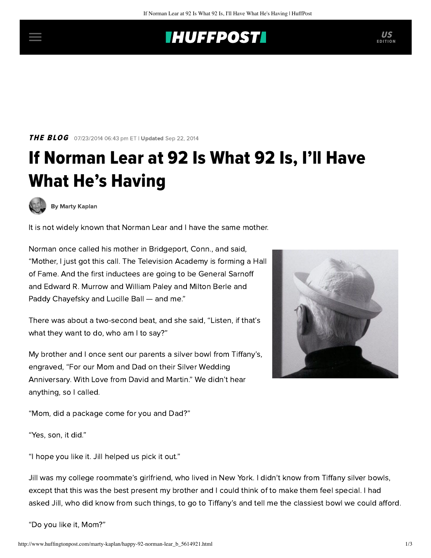## **INUFFPOST**

**THE BLOG** 07/23/2014 06:43 pm ET | Updated Sep 22, 2014

# If Norman Lear at 92 Is What 92 Is, I'll Have What He's Having



[By Marty Kaplan](http://www.huffingtonpost.com/author/marty-kaplan)

It is not widely known that Norman Lear and I have the same mother.

Norman once called his mother in Bridgeport, Conn., and said, "Mother, I just got this call. The Television Academy is forming a Hall of Fame. And the first inductees are going to be General Sarnoff and Edward R. Murrow and William Paley and Milton Berle and Paddy Chayefsky and Lucille Ball — and me."

There was about a two-second beat, and she said, "Listen, if that's what they want to do, who am I to say?"

My brother and I once sent our parents a silver bowl from Tiffany's, engraved, "For our Mom and Dad on their Silver Wedding Anniversary. With Love from David and Martin." We didn't hear anything, so I called.



"Mom, did a package come for you and Dad?"

"Yes, son, it did."

"I hope you like it. Jill helped us pick it out."

Jill was my college roommate's girlfriend, who lived in New York. I didn't know from Tiffany silver bowls, except that this was the best present my brother and I could think of to make them feel special. I had asked Jill, who did know from such things, to go to Tiffany's and tell me the classiest bowl we could afford.

#### "Do you like it, Mom?"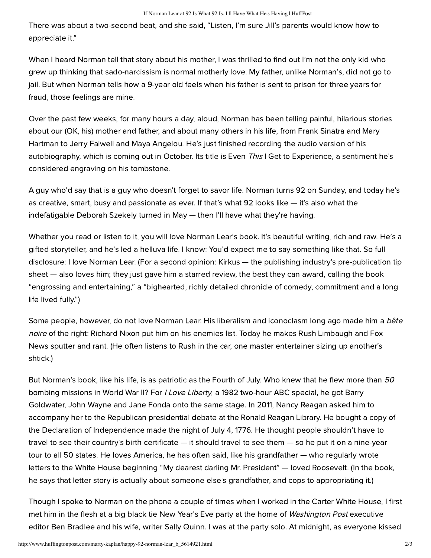There was about a two-second beat, and she said, "Listen, I'm sure Jill's parents would know how to appreciate it."

When I heard Norman tell that story about his mother, I was thrilled to find out I'm not the only kid who grew up thinking that sado-narcissism is normal motherly love. My father, unlike Norman's, did not go to jail. But when Norman tells how a 9-year old feels when his father is sent to prison for three years for fraud, those feelings are mine.

Over the past few weeks, for many hours a day, aloud, Norman has been telling painful, hilarious stories about our (OK, his) mother and father, and about many others in his life, from Frank Sinatra and Mary Hartman to Jerry Falwell and Maya Angelou. He's just finished recording the audio version of his autobiography, which is coming out in October. Its title is Even This [I Get to Experience,](http://www.penguin.com/book/even-this-i-get-to-experience-by-norman-lear/9781594205729) a sentiment he's considered engraving on his tombstone.

A guy who'd say that is a guy who doesn't forget to savor life. Norman turns 92 on Sunday, and today he's as creative, smart, busy and passionate as ever. If that's what 92 looks like — it's also what the indefatigable [Deborah Szekely](http://www.rancholapuerta.com/about-the-ranch/vision/heritage/) turned in May — then I'll have what they're having.

Whether you read or listen to it, you will love Norman Lear's book. It's beautiful writing, rich and raw. He's a gifted storyteller, and he's led a helluva life. I know: You'd expect me to say something like that. So full disclosure: I love Norman Lear. (For a second opinion: Kirkus — the publishing industry's pre-publication tip sheet — also loves him; they just gave him a starred review, the best they can award, calling the book "engrossing and entertaining," a "bighearted, richly detailed chronicle of comedy, commitment and a long life lived fully.")

Some people, however, do not love Norman Lear. His liberalism and iconoclasm long ago made him a bête noire of the right: Richard Nixon put him on his enemies list. Today he makes Rush Limbaugh and Fox News sputter and rant. (He often listens to Rush in the car, one master entertainer sizing up another's shtick.)

But Norman's book, like his life, is as patriotic as the Fourth of July. Who knew that he flew more than 50 bombing missions in World War II? For I Love Liberty, a 1982 two-hour ABC special, he got Barry Goldwater, John Wayne and Jane Fonda onto the same stage. In 2011, Nancy Reagan asked him to accompany her to the Republican presidential debate at the Ronald Reagan Library. He bought a copy of the Declaration of Independence made the night of July 4, 1776. He thought people shouldn't have to travel to see their country's birth certificate — it should travel to see them — so he put it on a nine-year tour to all 50 states. He loves America, he has often said, like his grandfather — who regularly wrote letters to the White House beginning "My dearest darling Mr. President" — loved Roosevelt. (In the book, he says that letter story is actually about someone else's grandfather, and cops to appropriating it.)

Though I spoke to Norman on the phone a couple of times when I worked in the Carter White House, I first met him in the flesh at a big black tie New Year's Eve party at the home of Washington Post executive editor Ben Bradlee and his wife, writer Sally Quinn. I was at the party solo. At midnight, as everyone kissed